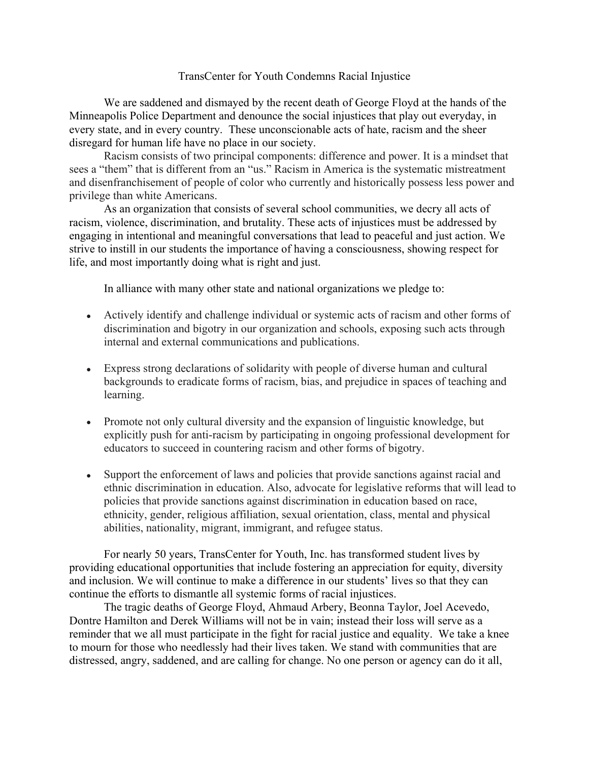## TransCenter for Youth Condemns Racial Injustice

We are saddened and dismayed by the recent death of George Floyd at the hands of the Minneapolis Police Department and denounce the social injustices that play out everyday, in every state, and in every country. These unconscionable acts of hate, racism and the sheer disregard for human life have no place in our society.

Racism consists of two principal components: difference and power. It is a mindset that sees a "them" that is different from an "us." Racism in America is the systematic mistreatment and disenfranchisement of people of color who currently and historically possess less power and privilege than white Americans.

As an organization that consists of several school communities, we decry all acts of racism, violence, discrimination, and brutality. These acts of injustices must be addressed by engaging in intentional and meaningful conversations that lead to peaceful and just action. We strive to instill in our students the importance of having a consciousness, showing respect for life, and most importantly doing what is right and just.

In alliance with many other state and national organizations we pledge to:

- Actively identify and challenge individual or systemic acts of racism and other forms of discrimination and bigotry in our organization and schools, exposing such acts through internal and external communications and publications.
- Express strong declarations of solidarity with people of diverse human and cultural backgrounds to eradicate forms of racism, bias, and prejudice in spaces of teaching and learning.
- Promote not only cultural diversity and the expansion of linguistic knowledge, but explicitly push for anti-racism by participating in ongoing professional development for educators to succeed in countering racism and other forms of bigotry.
- Support the enforcement of laws and policies that provide sanctions against racial and ethnic discrimination in education. Also, advocate for legislative reforms that will lead to policies that provide sanctions against discrimination in education based on race, ethnicity, gender, religious affiliation, sexual orientation, class, mental and physical abilities, nationality, migrant, immigrant, and refugee status.

For nearly 50 years, TransCenter for Youth, Inc. has transformed student lives by providing educational opportunities that include fostering an appreciation for equity, diversity and inclusion. We will continue to make a difference in our students' lives so that they can continue the efforts to dismantle all systemic forms of racial injustices.

The tragic deaths of George Floyd, Ahmaud Arbery, Beonna Taylor, Joel Acevedo, Dontre Hamilton and Derek Williams will not be in vain; instead their loss will serve as a reminder that we all must participate in the fight for racial justice and equality. We take a knee to mourn for those who needlessly had their lives taken. We stand with communities that are distressed, angry, saddened, and are calling for change. No one person or agency can do it all,